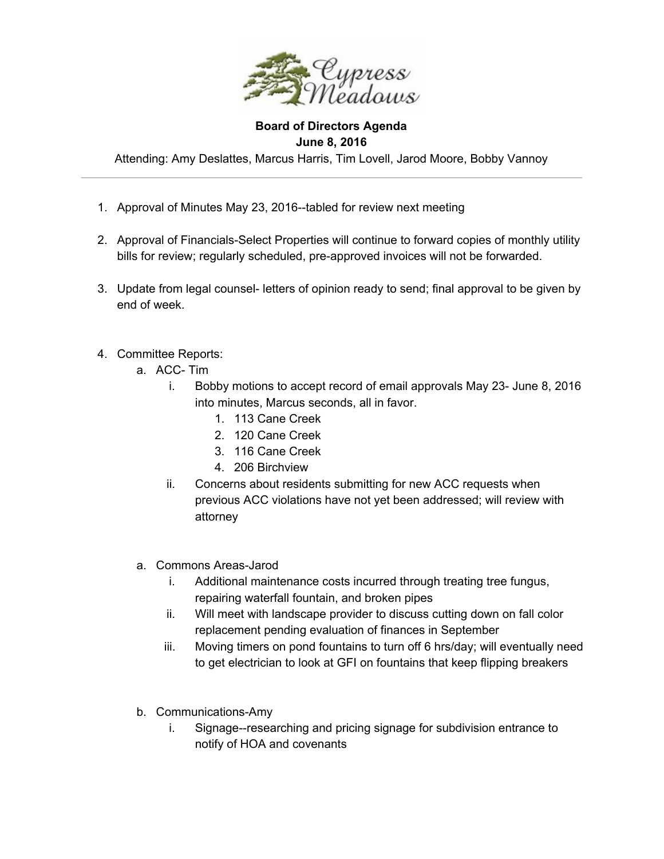

## **Board of Directors Agenda June 8, 2016**

Attending: Amy Deslattes, Marcus Harris, Tim Lovell, Jarod Moore, Bobby Vannoy

- 1. Approval of Minutes May 23, 2016--tabled for review next meeting
- 2. Approval of Financials-Select Properties will continue to forward copies of monthly utility bills for review; regularly scheduled, pre-approved invoices will not be forwarded.
- 3. Update from legal counsel- letters of opinion ready to send; final approval to be given by end of week.
- 4. Committee Reports:
	- a. ACC-Tim
		- i. Bobby motions to accept record of email approvals May 23 June 8, 2016 into minutes, Marcus seconds, all in favor.
			- 1. 113 Cane Creek
			- 2. 120 Cane Creek
			- 3. 116 Cane Creek
			- 4. 206 Birchview
		- ii. Concerns about residents submitting for new ACC requests when previous ACC violations have not yet been addressed; will review with attorney
	- a. Commons Areas-Jarod
		- i. Additional maintenance costs incurred through treating tree fungus, repairing waterfall fountain, and broken pipes
		- ii. Will meet with landscape provider to discuss cutting down on fall color replacement pending evaluation of finances in September
		- iii. Moving timers on pond fountains to turn off 6 hrs/day; will eventually need to get electrician to look at GFI on fountains that keep flipping breakers
	- b. Communications-Amy
		- i. Signage--researching and pricing signage for subdivision entrance to notify of HOA and covenants